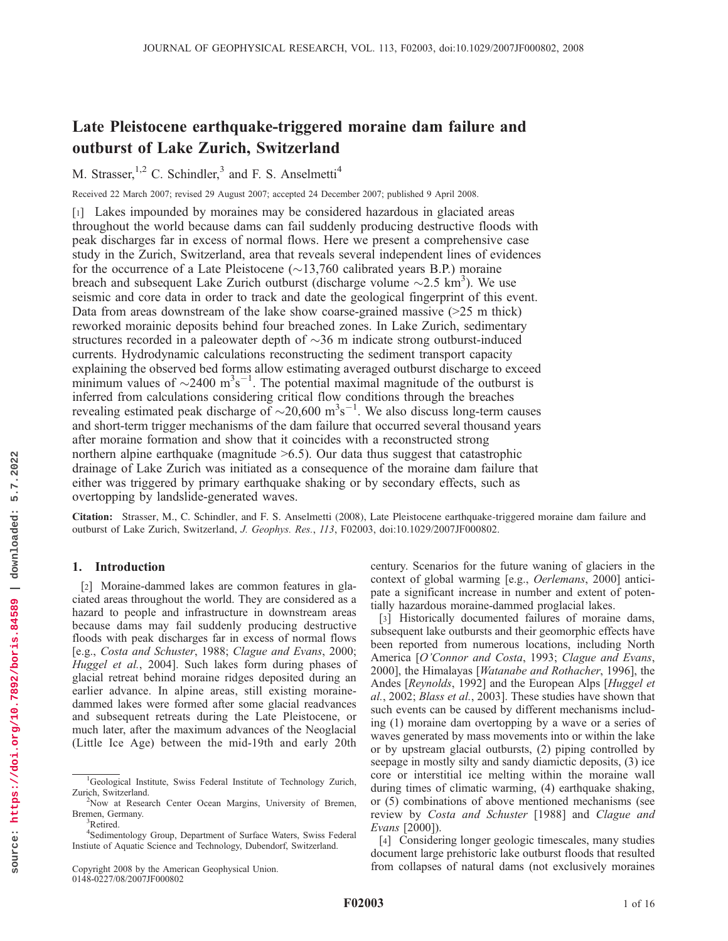# Late Pleistocene earthquake-triggered moraine dam failure and outburst of Lake Zurich, Switzerland

M. Strasser,  $1,2$  C. Schindler,<sup>3</sup> and F. S. Anselmetti<sup>4</sup>

Received 22 March 2007; revised 29 August 2007; accepted 24 December 2007; published 9 April 2008.

[1] Lakes impounded by moraines may be considered hazardous in glaciated areas throughout the world because dams can fail suddenly producing destructive floods with peak discharges far in excess of normal flows. Here we present a comprehensive case study in the Zurich, Switzerland, area that reveals several independent lines of evidences for the occurrence of a Late Pleistocene  $(\sim 13,760$  calibrated years B.P.) moraine breach and subsequent Lake Zurich outburst (discharge volume  $\sim$ 2.5 km<sup>3</sup>). We use seismic and core data in order to track and date the geological fingerprint of this event. Data from areas downstream of the lake show coarse-grained massive (>25 m thick) reworked morainic deposits behind four breached zones. In Lake Zurich, sedimentary structures recorded in a paleowater depth of  $\sim$ 36 m indicate strong outburst-induced currents. Hydrodynamic calculations reconstructing the sediment transport capacity explaining the observed bed forms allow estimating averaged outburst discharge to exceed minimum values of  $\sim$ 2400 m<sup>3</sup>s<sup>-1</sup>. The potential maximal magnitude of the outburst is inferred from calculations considering critical flow conditions through the breaches revealing estimated peak discharge of  $\sim$ 20,600 m<sup>3</sup>s<sup>-1</sup>. We also discuss long-term causes and short-term trigger mechanisms of the dam failure that occurred several thousand years after moraine formation and show that it coincides with a reconstructed strong northern alpine earthquake (magnitude  $\geq 6.5$ ). Our data thus suggest that catastrophic drainage of Lake Zurich was initiated as a consequence of the moraine dam failure that either was triggered by primary earthquake shaking or by secondary effects, such as overtopping by landslide-generated waves.

Citation: Strasser, M., C. Schindler, and F. S. Anselmetti (2008), Late Pleistocene earthquake-triggered moraine dam failure and outburst of Lake Zurich, Switzerland, J. Geophys. Res., 113, F02003, doi:10.1029/2007JF000802.

## 1. Introduction

[2] Moraine-dammed lakes are common features in glaciated areas throughout the world. They are considered as a hazard to people and infrastructure in downstream areas because dams may fail suddenly producing destructive floods with peak discharges far in excess of normal flows [e.g., Costa and Schuster, 1988; Clague and Evans, 2000; Huggel et al., 2004]. Such lakes form during phases of glacial retreat behind moraine ridges deposited during an earlier advance. In alpine areas, still existing morainedammed lakes were formed after some glacial readvances and subsequent retreats during the Late Pleistocene, or much later, after the maximum advances of the Neoglacial (Little Ice Age) between the mid-19th and early 20th

Copyright 2008 by the American Geophysical Union. 0148-0227/08/2007JF000802

century. Scenarios for the future waning of glaciers in the context of global warming [e.g., Oerlemans, 2000] anticipate a significant increase in number and extent of potentially hazardous moraine-dammed proglacial lakes.

[3] Historically documented failures of moraine dams, subsequent lake outbursts and their geomorphic effects have been reported from numerous locations, including North America [O'Connor and Costa, 1993; Clague and Evans, 2000], the Himalayas [Watanabe and Rothacher, 1996], the Andes [Reynolds, 1992] and the European Alps [Huggel et al., 2002; Blass et al., 2003]. These studies have shown that such events can be caused by different mechanisms including (1) moraine dam overtopping by a wave or a series of waves generated by mass movements into or within the lake or by upstream glacial outbursts, (2) piping controlled by seepage in mostly silty and sandy diamictic deposits, (3) ice core or interstitial ice melting within the moraine wall during times of climatic warming, (4) earthquake shaking, or (5) combinations of above mentioned mechanisms (see review by Costa and Schuster [1988] and Clague and Evans [2000]).

[4] Considering longer geologic timescales, many studies document large prehistoric lake outburst floods that resulted from collapses of natural dams (not exclusively moraines

<sup>&</sup>lt;sup>1</sup>Geological Institute, Swiss Federal Institute of Technology Zurich, Zurich, Switzerland.

<sup>&</sup>lt;sup>2</sup>Now at Research Center Ocean Margins, University of Bremen, Bremen, Germany.

<sup>&</sup>lt;sup>3</sup>Retired.

<sup>4</sup> Sedimentology Group, Department of Surface Waters, Swiss Federal Instiute of Aquatic Science and Technology, Dubendorf, Switzerland.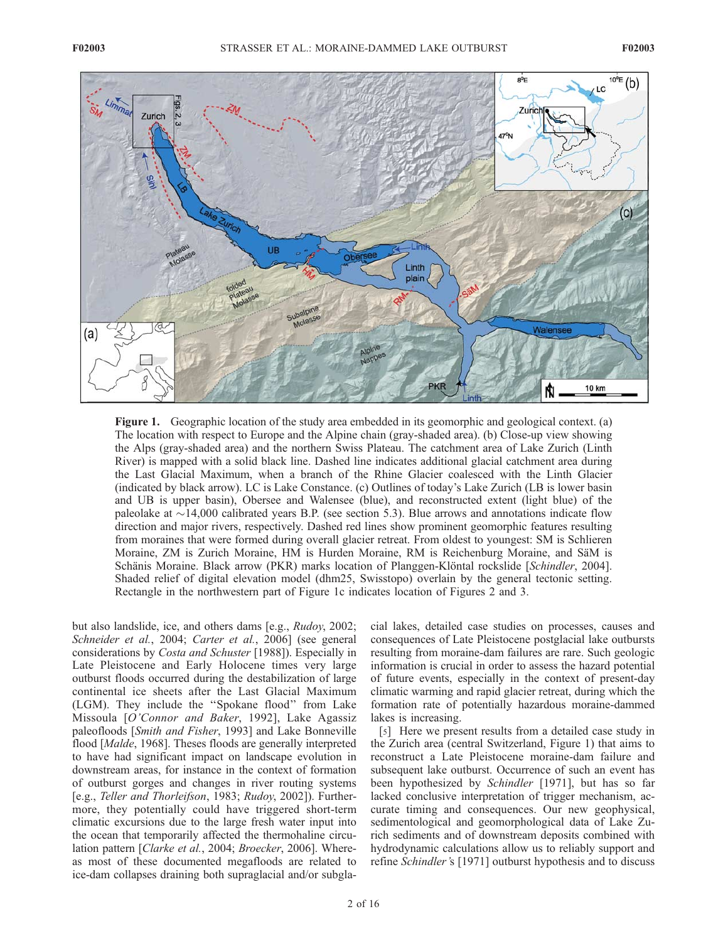

Figure 1. Geographic location of the study area embedded in its geomorphic and geological context. (a) The location with respect to Europe and the Alpine chain (gray-shaded area). (b) Close-up view showing the Alps (gray-shaded area) and the northern Swiss Plateau. The catchment area of Lake Zurich (Linth River) is mapped with a solid black line. Dashed line indicates additional glacial catchment area during the Last Glacial Maximum, when a branch of the Rhine Glacier coalesced with the Linth Glacier (indicated by black arrow). LC is Lake Constance. (c) Outlines of today's Lake Zurich (LB is lower basin and UB is upper basin), Obersee and Walensee (blue), and reconstructed extent (light blue) of the paleolake at  $\sim$ 14,000 calibrated years B.P. (see section 5.3). Blue arrows and annotations indicate flow direction and major rivers, respectively. Dashed red lines show prominent geomorphic features resulting from moraines that were formed during overall glacier retreat. From oldest to youngest: SM is Schlieren Moraine, ZM is Zurich Moraine, HM is Hurden Moraine, RM is Reichenburg Moraine, and SäM is Schänis Moraine. Black arrow (PKR) marks location of Planggen-Klöntal rockslide [Schindler, 2004]. Shaded relief of digital elevation model (dhm25, Swisstopo) overlain by the general tectonic setting. Rectangle in the northwestern part of Figure 1c indicates location of Figures 2 and 3.

but also landslide, ice, and others dams [e.g., Rudoy, 2002; Schneider et al., 2004; Carter et al., 2006] (see general considerations by Costa and Schuster [1988]). Especially in Late Pleistocene and Early Holocene times very large outburst floods occurred during the destabilization of large continental ice sheets after the Last Glacial Maximum (LGM). They include the ''Spokane flood'' from Lake Missoula [O'Connor and Baker, 1992], Lake Agassiz paleofloods [Smith and Fisher, 1993] and Lake Bonneville flood [Malde, 1968]. Theses floods are generally interpreted to have had significant impact on landscape evolution in downstream areas, for instance in the context of formation of outburst gorges and changes in river routing systems [e.g., Teller and Thorleifson, 1983; Rudoy, 2002]). Furthermore, they potentially could have triggered short-term climatic excursions due to the large fresh water input into the ocean that temporarily affected the thermohaline circulation pattern [Clarke et al., 2004; Broecker, 2006]. Whereas most of these documented megafloods are related to ice-dam collapses draining both supraglacial and/or subglacial lakes, detailed case studies on processes, causes and consequences of Late Pleistocene postglacial lake outbursts resulting from moraine-dam failures are rare. Such geologic information is crucial in order to assess the hazard potential of future events, especially in the context of present-day climatic warming and rapid glacier retreat, during which the formation rate of potentially hazardous moraine-dammed lakes is increasing.

[5] Here we present results from a detailed case study in the Zurich area (central Switzerland, Figure 1) that aims to reconstruct a Late Pleistocene moraine-dam failure and subsequent lake outburst. Occurrence of such an event has been hypothesized by Schindler [1971], but has so far lacked conclusive interpretation of trigger mechanism, accurate timing and consequences. Our new geophysical, sedimentological and geomorphological data of Lake Zurich sediments and of downstream deposits combined with hydrodynamic calculations allow us to reliably support and refine Schindler's [1971] outburst hypothesis and to discuss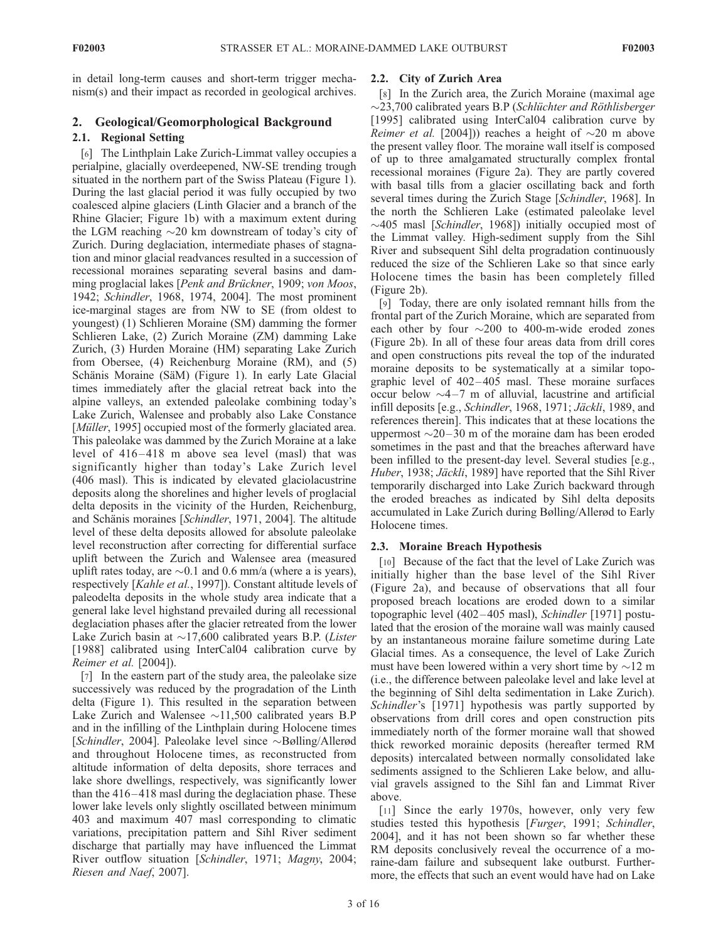in detail long-term causes and short-term trigger mechanism(s) and their impact as recorded in geological archives.

# 2. Geological/Geomorphological Background

# 2.1. Regional Setting

[6] The Linthplain Lake Zurich-Limmat valley occupies a perialpine, glacially overdeepened, NW-SE trending trough situated in the northern part of the Swiss Plateau (Figure 1). During the last glacial period it was fully occupied by two coalesced alpine glaciers (Linth Glacier and a branch of the Rhine Glacier; Figure 1b) with a maximum extent during the LGM reaching  $\sim$ 20 km downstream of today's city of Zurich. During deglaciation, intermediate phases of stagnation and minor glacial readvances resulted in a succession of recessional moraines separating several basins and damming proglacial lakes [*Penk and Brückner*, 1909; von Moos, 1942; Schindler, 1968, 1974, 2004]. The most prominent ice-marginal stages are from NW to SE (from oldest to youngest) (1) Schlieren Moraine (SM) damming the former Schlieren Lake, (2) Zurich Moraine (ZM) damming Lake Zurich, (3) Hurden Moraine (HM) separating Lake Zurich from Obersee, (4) Reichenburg Moraine (RM), and (5) Schänis Moraine (SäM) (Figure 1). In early Late Glacial times immediately after the glacial retreat back into the alpine valleys, an extended paleolake combining today's Lake Zurich, Walensee and probably also Lake Constance [*Müller*, 1995] occupied most of the formerly glaciated area. This paleolake was dammed by the Zurich Moraine at a lake level of 416–418 m above sea level (masl) that was significantly higher than today's Lake Zurich level (406 masl). This is indicated by elevated glaciolacustrine deposits along the shorelines and higher levels of proglacial delta deposits in the vicinity of the Hurden, Reichenburg, and Schänis moraines [Schindler, 1971, 2004]. The altitude level of these delta deposits allowed for absolute paleolake level reconstruction after correcting for differential surface uplift between the Zurich and Walensee area (measured uplift rates today, are  $\sim 0.1$  and 0.6 mm/a (where a is years), respectively [Kahle et al., 1997]). Constant altitude levels of paleodelta deposits in the whole study area indicate that a general lake level highstand prevailed during all recessional deglaciation phases after the glacier retreated from the lower Lake Zurich basin at  $\sim$ 17,600 calibrated years B.P. (Lister [1988] calibrated using InterCal04 calibration curve by Reimer et al. [2004]).

[7] In the eastern part of the study area, the paleolake size successively was reduced by the progradation of the Linth delta (Figure 1). This resulted in the separation between Lake Zurich and Walensee  $\sim$ 11,500 calibrated years B.P and in the infilling of the Linthplain during Holocene times [Schindler, 2004]. Paleolake level since  $\sim$ Bølling/Allerød and throughout Holocene times, as reconstructed from altitude information of delta deposits, shore terraces and lake shore dwellings, respectively, was significantly lower than the 416– 418 masl during the deglaciation phase. These lower lake levels only slightly oscillated between minimum 403 and maximum 407 masl corresponding to climatic variations, precipitation pattern and Sihl River sediment discharge that partially may have influenced the Limmat River outflow situation [Schindler, 1971; Magny, 2004; Riesen and Naef, 2007].

# 2.2. City of Zurich Area

[8] In the Zurich area, the Zurich Moraine (maximal age  $\sim$ 23,700 calibrated years B.P (Schlüchter and Röthlisberger [1995] calibrated using InterCal04 calibration curve by *Reimer et al.* [2004])) reaches a height of  $\sim$ 20 m above the present valley floor. The moraine wall itself is composed of up to three amalgamated structurally complex frontal recessional moraines (Figure 2a). They are partly covered with basal tills from a glacier oscillating back and forth several times during the Zurich Stage [Schindler, 1968]. In the north the Schlieren Lake (estimated paleolake level  $\sim$ 405 masl [Schindler, 1968]) initially occupied most of the Limmat valley. High-sediment supply from the Sihl River and subsequent Sihl delta progradation continuously reduced the size of the Schlieren Lake so that since early Holocene times the basin has been completely filled (Figure 2b).

[9] Today, there are only isolated remnant hills from the frontal part of the Zurich Moraine, which are separated from each other by four  $\sim$ 200 to 400-m-wide eroded zones (Figure 2b). In all of these four areas data from drill cores and open constructions pits reveal the top of the indurated moraine deposits to be systematically at a similar topographic level of 402– 405 masl. These moraine surfaces occur below  $\sim$ 4-7 m of alluvial, lacustrine and artificial infill deposits [e.g., Schindler, 1968, 1971; Jäckli, 1989, and references therein]. This indicates that at these locations the uppermost  $\sim$ 20–30 m of the moraine dam has been eroded sometimes in the past and that the breaches afterward have been infilled to the present-day level. Several studies [e.g., Huber, 1938; Jäckli, 1989] have reported that the Sihl River temporarily discharged into Lake Zurich backward through the eroded breaches as indicated by Sihl delta deposits accumulated in Lake Zurich during Bølling/Allerød to Early Holocene times.

# 2.3. Moraine Breach Hypothesis

[10] Because of the fact that the level of Lake Zurich was initially higher than the base level of the Sihl River (Figure 2a), and because of observations that all four proposed breach locations are eroded down to a similar topographic level (402–405 masl), Schindler [1971] postulated that the erosion of the moraine wall was mainly caused by an instantaneous moraine failure sometime during Late Glacial times. As a consequence, the level of Lake Zurich must have been lowered within a very short time by  $\sim$ 12 m (i.e., the difference between paleolake level and lake level at the beginning of Sihl delta sedimentation in Lake Zurich). Schindler's [1971] hypothesis was partly supported by observations from drill cores and open construction pits immediately north of the former moraine wall that showed thick reworked morainic deposits (hereafter termed RM deposits) intercalated between normally consolidated lake sediments assigned to the Schlieren Lake below, and alluvial gravels assigned to the Sihl fan and Limmat River above.

[11] Since the early 1970s, however, only very few studies tested this hypothesis [Furger, 1991; Schindler, 2004], and it has not been shown so far whether these RM deposits conclusively reveal the occurrence of a moraine-dam failure and subsequent lake outburst. Furthermore, the effects that such an event would have had on Lake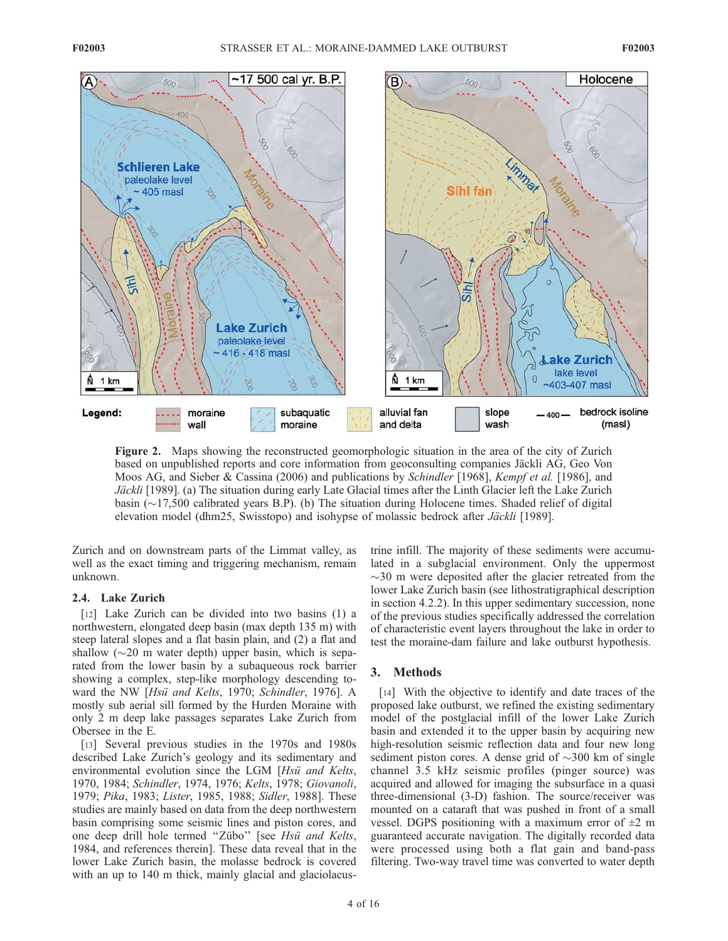

Figure 2. Maps showing the reconstructed geomorphologic situation in the area of the city of Zurich based on unpublished reports and core information from geoconsulting companies Jäckli AG, Geo Von Moos AG, and Sieber & Cassina (2006) and publications by Schindler [1968], Kempf et al. [1986], and Jäckli [1989]. (a) The situation during early Late Glacial times after the Linth Glacier left the Lake Zurich basin  $(\sim 17,500$  calibrated years B.P). (b) The situation during Holocene times. Shaded relief of digital elevation model (dhm25, Swisstopo) and isohypse of molassic bedrock after Jäckli [1989].

Zurich and on downstream parts of the Limmat valley, as well as the exact timing and triggering mechanism, remain unknown.

### 2.4. Lake Zurich

[12] Lake Zurich can be divided into two basins (1) a northwestern, elongated deep basin (max depth 135 m) with steep lateral slopes and a flat basin plain, and (2) a flat and shallow  $(\sim 20$  m water depth) upper basin, which is separated from the lower basin by a subaqueous rock barrier showing a complex, step-like morphology descending toward the NW [Hsü and Kelts, 1970; Schindler, 1976]. A mostly sub aerial sill formed by the Hurden Moraine with only 2 m deep lake passages separates Lake Zurich from Obersee in the E.

[13] Several previous studies in the 1970s and 1980s described Lake Zurich's geology and its sedimentary and environmental evolution since the LGM [Hsü and Kelts, 1970, 1984; Schindler, 1974, 1976; Kelts, 1978; Giovanoli, 1979; Pika, 1983; Lister, 1985, 1988; Sidler, 1988]. These studies are mainly based on data from the deep northwestern basin comprising some seismic lines and piston cores, and one deep drill hole termed "Zübo" [see Hsü and Kelts, 1984, and references therein]. These data reveal that in the lower Lake Zurich basin, the molasse bedrock is covered with an up to 140 m thick, mainly glacial and glaciolacustrine infill. The majority of these sediments were accumulated in a subglacial environment. Only the uppermost  $\sim$ 30 m were deposited after the glacier retreated from the lower Lake Zurich basin (see lithostratigraphical description in section 4.2.2). In this upper sedimentary succession, none of the previous studies specifically addressed the correlation of characteristic event layers throughout the lake in order to test the moraine-dam failure and lake outburst hypothesis.

### 3. Methods

[14] With the objective to identify and date traces of the proposed lake outburst, we refined the existing sedimentary model of the postglacial infill of the lower Lake Zurich basin and extended it to the upper basin by acquiring new high-resolution seismic reflection data and four new long sediment piston cores. A dense grid of  $\sim$ 300 km of single channel 3.5 kHz seismic profiles (pinger source) was acquired and allowed for imaging the subsurface in a quasi three-dimensional (3-D) fashion. The source/receiver was mounted on a cataraft that was pushed in front of a small vessel. DGPS positioning with a maximum error of  $\pm 2$  m guaranteed accurate navigation. The digitally recorded data were processed using both a flat gain and band-pass filtering. Two-way travel time was converted to water depth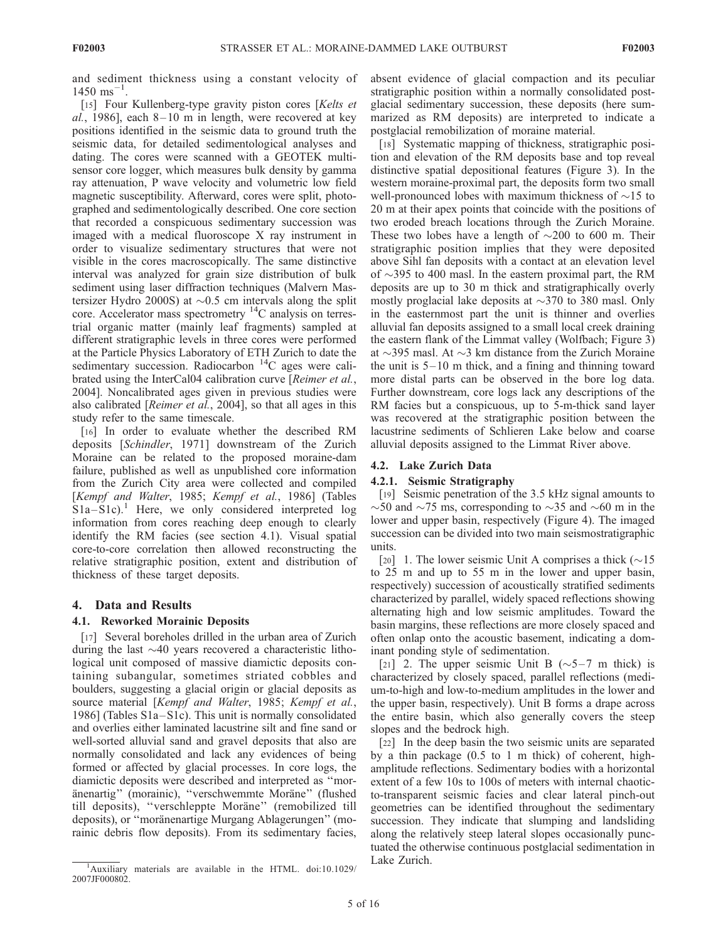and sediment thickness using a constant velocity of  $1450$  ms<sup>-1</sup>.

[15] Four Kullenberg-type gravity piston cores [Kelts et al., 1986], each  $8-10$  m in length, were recovered at key positions identified in the seismic data to ground truth the seismic data, for detailed sedimentological analyses and dating. The cores were scanned with a GEOTEK multisensor core logger, which measures bulk density by gamma ray attenuation, P wave velocity and volumetric low field magnetic susceptibility. Afterward, cores were split, photographed and sedimentologically described. One core section that recorded a conspicuous sedimentary succession was imaged with a medical fluoroscope X ray instrument in order to visualize sedimentary structures that were not visible in the cores macroscopically. The same distinctive interval was analyzed for grain size distribution of bulk sediment using laser diffraction techniques (Malvern Mastersizer Hydro 2000S) at  $\sim 0.5$  cm intervals along the split core. Accelerator mass spectrometry <sup>14</sup>C analysis on terrestrial organic matter (mainly leaf fragments) sampled at different stratigraphic levels in three cores were performed at the Particle Physics Laboratory of ETH Zurich to date the sedimentary succession. Radiocarbon <sup>14</sup>C ages were calibrated using the InterCal04 calibration curve [Reimer et al., 2004]. Noncalibrated ages given in previous studies were also calibrated [Reimer et al., 2004], so that all ages in this study refer to the same timescale.

[16] In order to evaluate whether the described RM deposits [Schindler, 1971] downstream of the Zurich Moraine can be related to the proposed moraine-dam failure, published as well as unpublished core information from the Zurich City area were collected and compiled [Kempf and Walter, 1985; Kempf et al., 1986] (Tables  $S1a-S1c$ .<sup>1</sup> Here, we only considered interpreted log information from cores reaching deep enough to clearly identify the RM facies (see section 4.1). Visual spatial core-to-core correlation then allowed reconstructing the relative stratigraphic position, extent and distribution of thickness of these target deposits.

#### 4. Data and Results

#### 4.1. Reworked Morainic Deposits

[17] Several boreholes drilled in the urban area of Zurich during the last  $\sim$ 40 years recovered a characteristic lithological unit composed of massive diamictic deposits containing subangular, sometimes striated cobbles and boulders, suggesting a glacial origin or glacial deposits as source material [Kempf and Walter, 1985; Kempf et al., 1986] (Tables  $S1a-S1c$ ). This unit is normally consolidated and overlies either laminated lacustrine silt and fine sand or well-sorted alluvial sand and gravel deposits that also are normally consolidated and lack any evidences of being formed or affected by glacial processes. In core logs, the diamictic deposits were described and interpreted as ''moränenartig" (morainic), "verschwemmte Moräne" (flushed till deposits), "verschleppte Moräne" (remobilized till deposits), or "moränenartige Murgang Ablagerungen" (morainic debris flow deposits). From its sedimentary facies,

absent evidence of glacial compaction and its peculiar stratigraphic position within a normally consolidated postglacial sedimentary succession, these deposits (here summarized as RM deposits) are interpreted to indicate a postglacial remobilization of moraine material.

[18] Systematic mapping of thickness, stratigraphic position and elevation of the RM deposits base and top reveal distinctive spatial depositional features (Figure 3). In the western moraine-proximal part, the deposits form two small well-pronounced lobes with maximum thickness of  $\sim$ 15 to 20 m at their apex points that coincide with the positions of two eroded breach locations through the Zurich Moraine. These two lobes have a length of  $\sim$ 200 to 600 m. Their stratigraphic position implies that they were deposited above Sihl fan deposits with a contact at an elevation level of  $\sim$ 395 to 400 masl. In the eastern proximal part, the RM deposits are up to 30 m thick and stratigraphically overly mostly proglacial lake deposits at  $\sim$ 370 to 380 masl. Only in the easternmost part the unit is thinner and overlies alluvial fan deposits assigned to a small local creek draining the eastern flank of the Limmat valley (Wolfbach; Figure 3) at  $\sim$ 395 masl. At  $\sim$ 3 km distance from the Zurich Moraine the unit is  $5-10$  m thick, and a fining and thinning toward more distal parts can be observed in the bore log data. Further downstream, core logs lack any descriptions of the RM facies but a conspicuous, up to 5-m-thick sand layer was recovered at the stratigraphic position between the lacustrine sediments of Schlieren Lake below and coarse alluvial deposits assigned to the Limmat River above.

## 4.2. Lake Zurich Data

#### 4.2.1. Seismic Stratigraphy

[19] Seismic penetration of the 3.5 kHz signal amounts to  $\sim$ 50 and  $\sim$ 75 ms, corresponding to  $\sim$ 35 and  $\sim$ 60 m in the lower and upper basin, respectively (Figure 4). The imaged succession can be divided into two main seismostratigraphic units.

[20] 1. The lower seismic Unit A comprises a thick  $(\sim]15$ to 25 m and up to 55 m in the lower and upper basin, respectively) succession of acoustically stratified sediments characterized by parallel, widely spaced reflections showing alternating high and low seismic amplitudes. Toward the basin margins, these reflections are more closely spaced and often onlap onto the acoustic basement, indicating a dominant ponding style of sedimentation.

[21] 2. The upper seismic Unit B  $(\sim 5 - 7 \text{ m thick})$  is characterized by closely spaced, parallel reflections (medium-to-high and low-to-medium amplitudes in the lower and the upper basin, respectively). Unit B forms a drape across the entire basin, which also generally covers the steep slopes and the bedrock high.

[22] In the deep basin the two seismic units are separated by a thin package (0.5 to 1 m thick) of coherent, highamplitude reflections. Sedimentary bodies with a horizontal extent of a few 10s to 100s of meters with internal chaoticto-transparent seismic facies and clear lateral pinch-out geometries can be identified throughout the sedimentary succession. They indicate that slumping and landsliding along the relatively steep lateral slopes occasionally punctuated the otherwise continuous postglacial sedimentation in

 $\frac{1}{4}$ Auxiliary materials are available in the HTML. doi:10.1029/ Lake Zurich. 2007JF000802.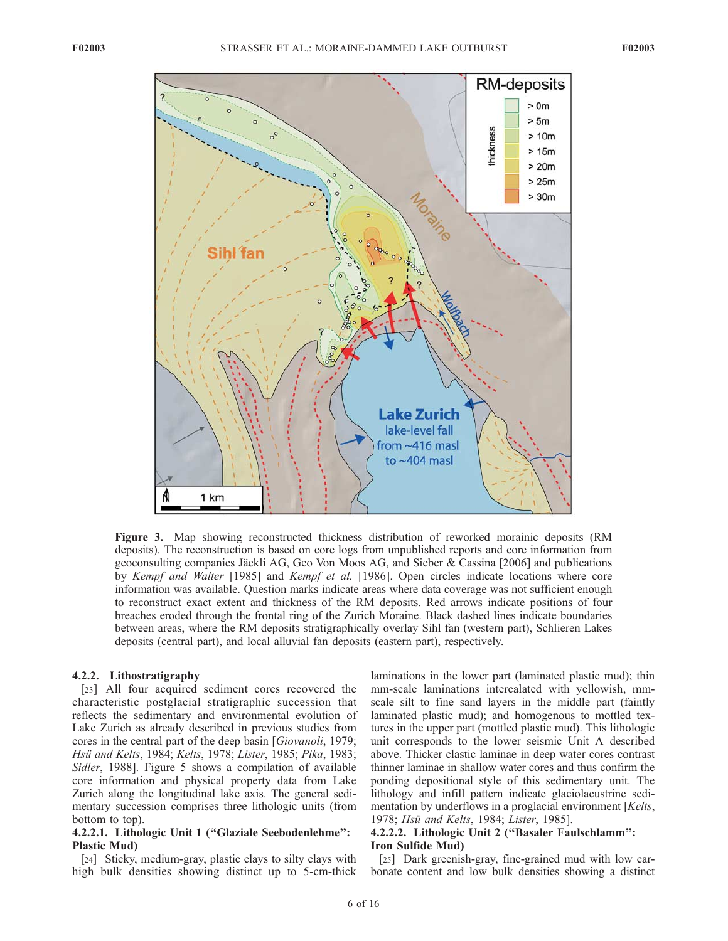

Figure 3. Map showing reconstructed thickness distribution of reworked morainic deposits (RM deposits). The reconstruction is based on core logs from unpublished reports and core information from geoconsulting companies Jäckli AG, Geo Von Moos AG, and Sieber & Cassina [2006] and publications by Kempf and Walter [1985] and Kempf et al. [1986]. Open circles indicate locations where core information was available. Question marks indicate areas where data coverage was not sufficient enough to reconstruct exact extent and thickness of the RM deposits. Red arrows indicate positions of four breaches eroded through the frontal ring of the Zurich Moraine. Black dashed lines indicate boundaries between areas, where the RM deposits stratigraphically overlay Sihl fan (western part), Schlieren Lakes deposits (central part), and local alluvial fan deposits (eastern part), respectively.

#### 4.2.2. Lithostratigraphy

[23] All four acquired sediment cores recovered the characteristic postglacial stratigraphic succession that reflects the sedimentary and environmental evolution of Lake Zurich as already described in previous studies from cores in the central part of the deep basin [Giovanoli, 1979; Hsü and Kelts, 1984; Kelts, 1978; Lister, 1985; Pika, 1983; Sidler, 1988]. Figure 5 shows a compilation of available core information and physical property data from Lake Zurich along the longitudinal lake axis. The general sedimentary succession comprises three lithologic units (from bottom to top).

## 4.2.2.1. Lithologic Unit 1 (''Glaziale Seebodenlehme'': Plastic Mud)

[24] Sticky, medium-gray, plastic clays to silty clays with high bulk densities showing distinct up to 5-cm-thick

laminations in the lower part (laminated plastic mud); thin mm-scale laminations intercalated with yellowish, mmscale silt to fine sand layers in the middle part (faintly laminated plastic mud); and homogenous to mottled textures in the upper part (mottled plastic mud). This lithologic unit corresponds to the lower seismic Unit A described above. Thicker clastic laminae in deep water cores contrast thinner laminae in shallow water cores and thus confirm the ponding depositional style of this sedimentary unit. The lithology and infill pattern indicate glaciolacustrine sedimentation by underflows in a proglacial environment [Kelts, 1978; Hsü and Kelts, 1984; Lister, 1985].

## 4.2.2.2. Lithologic Unit 2 (''Basaler Faulschlamm'': Iron Sulfide Mud)

[25] Dark greenish-gray, fine-grained mud with low carbonate content and low bulk densities showing a distinct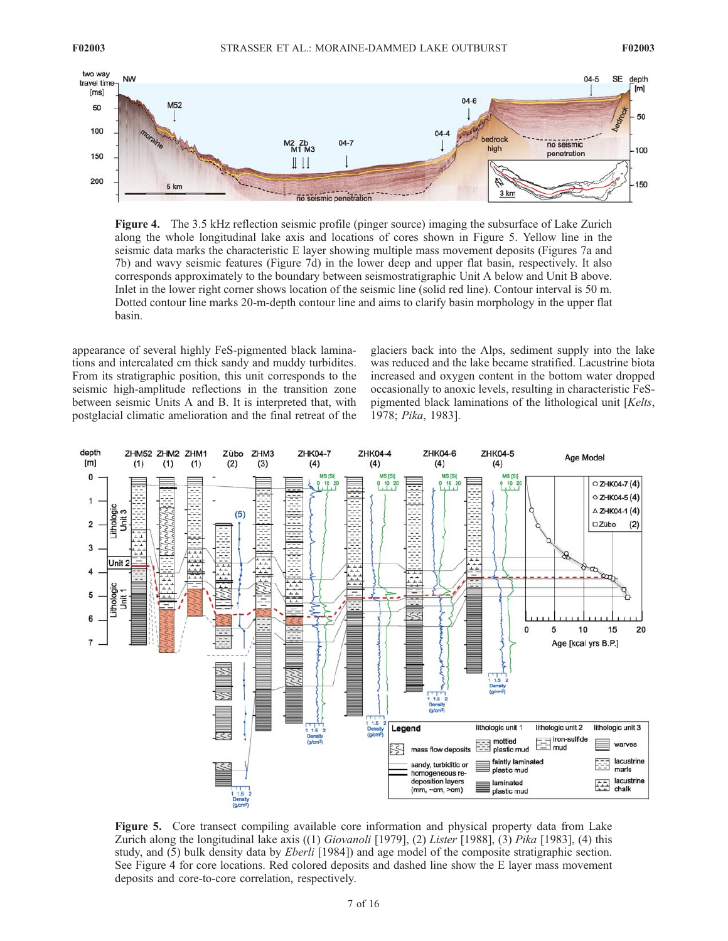

Figure 4. The 3.5 kHz reflection seismic profile (pinger source) imaging the subsurface of Lake Zurich along the whole longitudinal lake axis and locations of cores shown in Figure 5. Yellow line in the seismic data marks the characteristic E layer showing multiple mass movement deposits (Figures 7a and 7b) and wavy seismic features (Figure 7d) in the lower deep and upper flat basin, respectively. It also corresponds approximately to the boundary between seismostratigraphic Unit A below and Unit B above. Inlet in the lower right corner shows location of the seismic line (solid red line). Contour interval is 50 m. Dotted contour line marks 20-m-depth contour line and aims to clarify basin morphology in the upper flat basin.

appearance of several highly FeS-pigmented black laminations and intercalated cm thick sandy and muddy turbidites. From its stratigraphic position, this unit corresponds to the seismic high-amplitude reflections in the transition zone between seismic Units A and B. It is interpreted that, with postglacial climatic amelioration and the final retreat of the

glaciers back into the Alps, sediment supply into the lake was reduced and the lake became stratified. Lacustrine biota increased and oxygen content in the bottom water dropped occasionally to anoxic levels, resulting in characteristic FeSpigmented black laminations of the lithological unit [Kelts, 1978; Pika, 1983].



Figure 5. Core transect compiling available core information and physical property data from Lake Zurich along the longitudinal lake axis  $((1)$  Giovanoli [1979], (2) Lister [1988], (3) Pika [1983], (4) this study, and (5) bulk density data by *Eberli* [1984]) and age model of the composite stratigraphic section. See Figure 4 for core locations. Red colored deposits and dashed line show the E layer mass movement deposits and core-to-core correlation, respectively.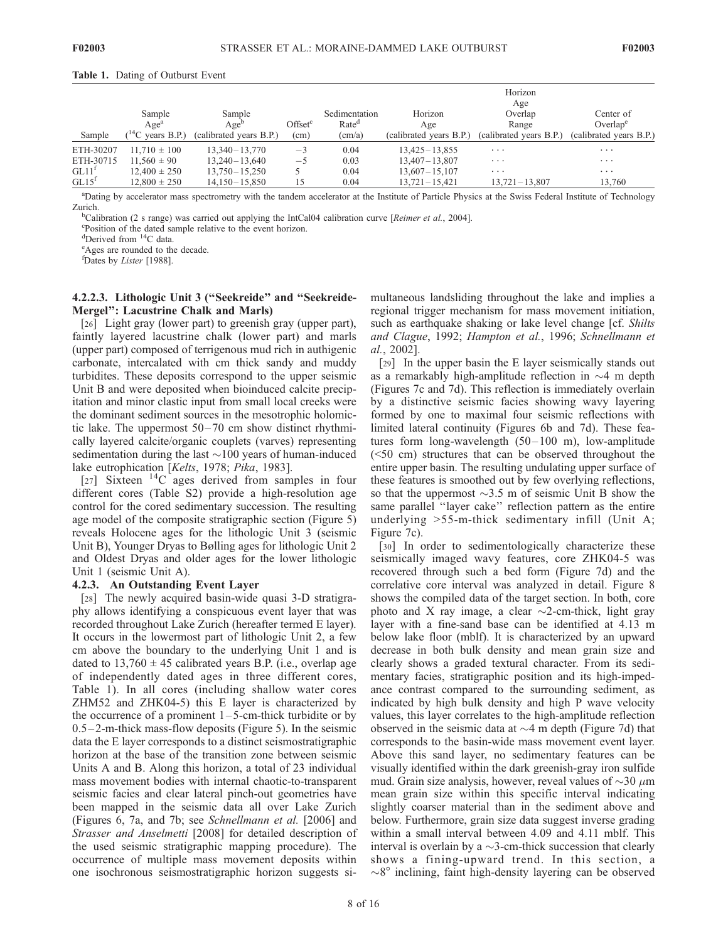#### Table 1. Dating of Outburst Event

| Sample              | Sample<br>Age <sup>a</sup><br>$\sqrt{14}$<br>years B.P.) | Sample<br>Age <sup>t</sup><br>(calibrated years B.P.) | Offset <sup>c</sup><br>(cm) | Sedimentation<br>Rate <sup>d</sup><br>(cm/a) | Horizon<br>Age<br>(calibrated years B.P.) | Horizon<br>Age<br>Overlap<br>Range<br>(calibrated years B.P.) | Center of<br>Overlap <sup>e</sup><br>(calibrated years B.P.) |
|---------------------|----------------------------------------------------------|-------------------------------------------------------|-----------------------------|----------------------------------------------|-------------------------------------------|---------------------------------------------------------------|--------------------------------------------------------------|
| ETH-30207           | $11.710 \pm 100$                                         | $13.340 - 13.770$                                     | $-3$                        | 0.04                                         | $13,425 - 13,855$                         | $\cdots$                                                      | $\cdots$                                                     |
| ETH-30715           | $11.560 \pm 90$                                          | $13,240 - 13,640$                                     | $-5$                        | 0.03                                         | $13,407 - 13,807$                         | $\cdots$                                                      | $\cdots$                                                     |
| $GL11$ <sup>1</sup> | $12.400 \pm 250$                                         | $13.750 - 15.250$                                     |                             | 0.04                                         | $13,607 - 15,107$                         | $\cdots$                                                      | $\cdots$                                                     |
| GL15 <sup>t</sup>   | $12.800 \pm 250$                                         | $14.150 - 15.850$                                     | 15                          | 0.04                                         | $13.721 - 15.421$                         | $13.721 - 13.807$                                             | 13.760                                                       |

a Dating by accelerator mass spectrometry with the tandem accelerator at the Institute of Particle Physics at the Swiss Federal Institute of Technology Zurich.

<sup>b</sup>Calibration (2 s range) was carried out applying the IntCal04 calibration curve [Reimer et al., 2004].

Position of the dated sample relative to the event horizon.

<sup>d</sup>Derived from <sup>14</sup>C data.

Ages are rounded to the decade.

fDates by Lister [1988].

#### 4.2.2.3. Lithologic Unit 3 (''Seekreide'' and ''Seekreide-Mergel'': Lacustrine Chalk and Marls)

[26] Light gray (lower part) to greenish gray (upper part), faintly layered lacustrine chalk (lower part) and marls (upper part) composed of terrigenous mud rich in authigenic carbonate, intercalated with cm thick sandy and muddy turbidites. These deposits correspond to the upper seismic Unit B and were deposited when bioinduced calcite precipitation and minor clastic input from small local creeks were the dominant sediment sources in the mesotrophic holomictic lake. The uppermost  $50-70$  cm show distinct rhythmically layered calcite/organic couplets (varves) representing sedimentation during the last  $\sim$ 100 years of human-induced lake eutrophication [Kelts, 1978; Pika, 1983].

[27] Sixteen  $^{14}$ C ages derived from samples in four different cores (Table S2) provide a high-resolution age control for the cored sedimentary succession. The resulting age model of the composite stratigraphic section (Figure 5) reveals Holocene ages for the lithologic Unit 3 (seismic Unit B), Younger Dryas to Bølling ages for lithologic Unit 2 and Oldest Dryas and older ages for the lower lithologic Unit 1 (seismic Unit A).

#### 4.2.3. An Outstanding Event Layer

[28] The newly acquired basin-wide quasi 3-D stratigraphy allows identifying a conspicuous event layer that was recorded throughout Lake Zurich (hereafter termed E layer). It occurs in the lowermost part of lithologic Unit 2, a few cm above the boundary to the underlying Unit 1 and is dated to  $13,760 \pm 45$  calibrated years B.P. (i.e., overlap age of independently dated ages in three different cores, Table 1). In all cores (including shallow water cores ZHM52 and ZHK04-5) this E layer is characterized by the occurrence of a prominent  $1-5$ -cm-thick turbidite or by  $0.5-2$ -m-thick mass-flow deposits (Figure 5). In the seismic data the E layer corresponds to a distinct seismostratigraphic horizon at the base of the transition zone between seismic Units A and B. Along this horizon, a total of 23 individual mass movement bodies with internal chaotic-to-transparent seismic facies and clear lateral pinch-out geometries have been mapped in the seismic data all over Lake Zurich (Figures 6, 7a, and 7b; see Schnellmann et al. [2006] and Strasser and Anselmetti [2008] for detailed description of the used seismic stratigraphic mapping procedure). The occurrence of multiple mass movement deposits within one isochronous seismostratigraphic horizon suggests simultaneous landsliding throughout the lake and implies a regional trigger mechanism for mass movement initiation, such as earthquake shaking or lake level change [cf. Shilts] and Clague, 1992; Hampton et al., 1996; Schnellmann et al., 2002].

[29] In the upper basin the E layer seismically stands out as a remarkably high-amplitude reflection in  $\sim$ 4 m depth (Figures 7c and 7d). This reflection is immediately overlain by a distinctive seismic facies showing wavy layering formed by one to maximal four seismic reflections with limited lateral continuity (Figures 6b and 7d). These features form long-wavelength  $(50-100 \text{ m})$ , low-amplitude (<50 cm) structures that can be observed throughout the entire upper basin. The resulting undulating upper surface of these features is smoothed out by few overlying reflections, so that the uppermost  $\sim$ 3.5 m of seismic Unit B show the same parallel ''layer cake'' reflection pattern as the entire underlying >55-m-thick sedimentary infill (Unit A; Figure 7c).

[30] In order to sedimentologically characterize these seismically imaged wavy features, core ZHK04-5 was recovered through such a bed form (Figure 7d) and the correlative core interval was analyzed in detail. Figure 8 shows the compiled data of the target section. In both, core photo and X ray image, a clear  $\sim$ 2-cm-thick, light gray layer with a fine-sand base can be identified at 4.13 m below lake floor (mblf). It is characterized by an upward decrease in both bulk density and mean grain size and clearly shows a graded textural character. From its sedimentary facies, stratigraphic position and its high-impedance contrast compared to the surrounding sediment, as indicated by high bulk density and high P wave velocity values, this layer correlates to the high-amplitude reflection observed in the seismic data at  $\sim$ 4 m depth (Figure 7d) that corresponds to the basin-wide mass movement event layer. Above this sand layer, no sedimentary features can be visually identified within the dark greenish-gray iron sulfide mud. Grain size analysis, however, reveal values of  $\sim$ 30  $\mu$ m mean grain size within this specific interval indicating slightly coarser material than in the sediment above and below. Furthermore, grain size data suggest inverse grading within a small interval between 4.09 and 4.11 mblf. This interval is overlain by a  $\sim$ 3-cm-thick succession that clearly shows a fining-upward trend. In this section, a  $\sim 8^{\circ}$  inclining, faint high-density layering can be observed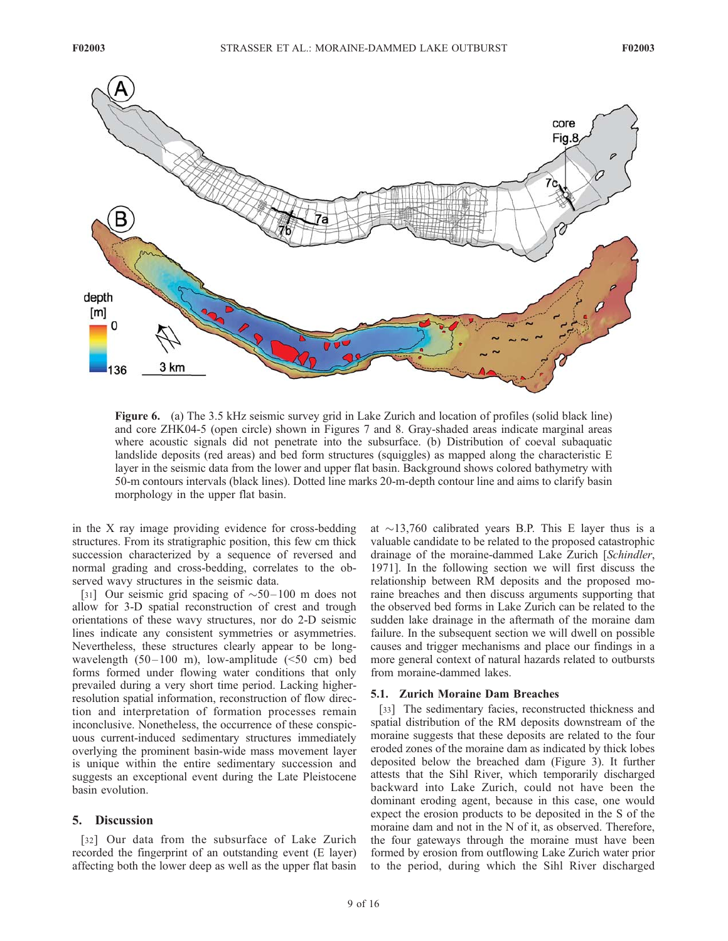

Figure 6. (a) The 3.5 kHz seismic survey grid in Lake Zurich and location of profiles (solid black line) and core ZHK04-5 (open circle) shown in Figures 7 and 8. Gray-shaded areas indicate marginal areas where acoustic signals did not penetrate into the subsurface. (b) Distribution of coeval subaquatic landslide deposits (red areas) and bed form structures (squiggles) as mapped along the characteristic E layer in the seismic data from the lower and upper flat basin. Background shows colored bathymetry with 50-m contours intervals (black lines). Dotted line marks 20-m-depth contour line and aims to clarify basin morphology in the upper flat basin.

in the X ray image providing evidence for cross-bedding structures. From its stratigraphic position, this few cm thick succession characterized by a sequence of reversed and normal grading and cross-bedding, correlates to the observed wavy structures in the seismic data.

[31] Our seismic grid spacing of  $\sim 50-100$  m does not allow for 3-D spatial reconstruction of crest and trough orientations of these wavy structures, nor do 2-D seismic lines indicate any consistent symmetries or asymmetries. Nevertheless, these structures clearly appear to be longwavelength  $(50-100 \text{ m})$ , low-amplitude  $(50 \text{ cm})$  bed forms formed under flowing water conditions that only prevailed during a very short time period. Lacking higherresolution spatial information, reconstruction of flow direction and interpretation of formation processes remain inconclusive. Nonetheless, the occurrence of these conspicuous current-induced sedimentary structures immediately overlying the prominent basin-wide mass movement layer is unique within the entire sedimentary succession and suggests an exceptional event during the Late Pleistocene basin evolution.

#### 5. Discussion

[32] Our data from the subsurface of Lake Zurich recorded the fingerprint of an outstanding event (E layer) affecting both the lower deep as well as the upper flat basin at  $\sim$ 13,760 calibrated years B.P. This E layer thus is a valuable candidate to be related to the proposed catastrophic drainage of the moraine-dammed Lake Zurich [Schindler, 1971]. In the following section we will first discuss the relationship between RM deposits and the proposed moraine breaches and then discuss arguments supporting that the observed bed forms in Lake Zurich can be related to the sudden lake drainage in the aftermath of the moraine dam failure. In the subsequent section we will dwell on possible causes and trigger mechanisms and place our findings in a more general context of natural hazards related to outbursts from moraine-dammed lakes.

## 5.1. Zurich Moraine Dam Breaches

[33] The sedimentary facies, reconstructed thickness and spatial distribution of the RM deposits downstream of the moraine suggests that these deposits are related to the four eroded zones of the moraine dam as indicated by thick lobes deposited below the breached dam (Figure 3). It further attests that the Sihl River, which temporarily discharged backward into Lake Zurich, could not have been the dominant eroding agent, because in this case, one would expect the erosion products to be deposited in the S of the moraine dam and not in the N of it, as observed. Therefore, the four gateways through the moraine must have been formed by erosion from outflowing Lake Zurich water prior to the period, during which the Sihl River discharged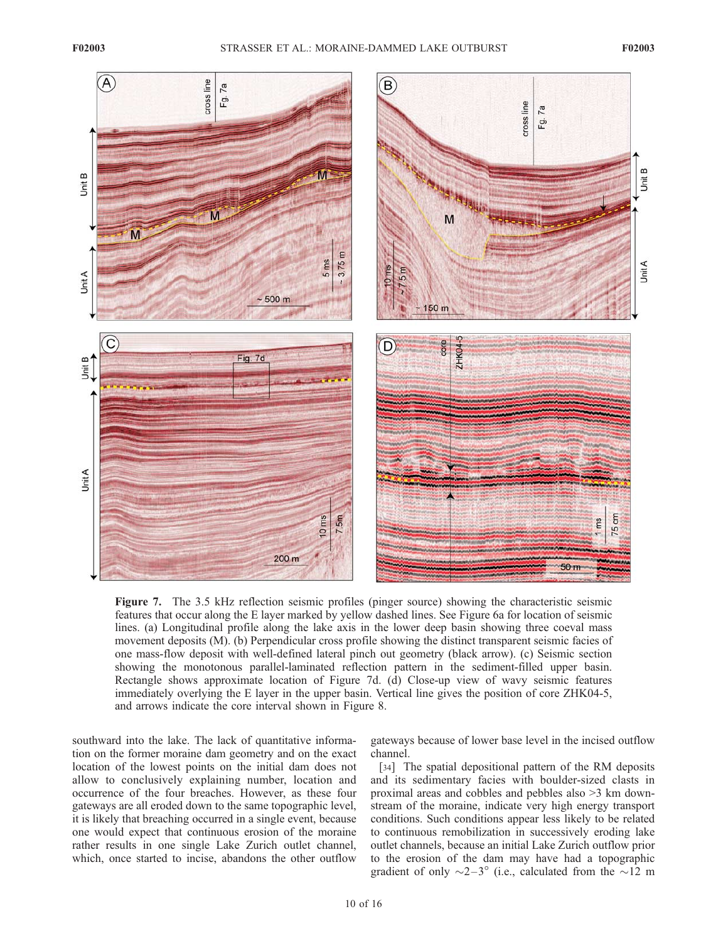

Figure 7. The 3.5 kHz reflection seismic profiles (pinger source) showing the characteristic seismic features that occur along the E layer marked by yellow dashed lines. See Figure 6a for location of seismic lines. (a) Longitudinal profile along the lake axis in the lower deep basin showing three coeval mass movement deposits (M). (b) Perpendicular cross profile showing the distinct transparent seismic facies of one mass-flow deposit with well-defined lateral pinch out geometry (black arrow). (c) Seismic section showing the monotonous parallel-laminated reflection pattern in the sediment-filled upper basin. Rectangle shows approximate location of Figure 7d. (d) Close-up view of wavy seismic features immediately overlying the E layer in the upper basin. Vertical line gives the position of core ZHK04-5, and arrows indicate the core interval shown in Figure 8.

southward into the lake. The lack of quantitative information on the former moraine dam geometry and on the exact location of the lowest points on the initial dam does not allow to conclusively explaining number, location and occurrence of the four breaches. However, as these four gateways are all eroded down to the same topographic level, it is likely that breaching occurred in a single event, because one would expect that continuous erosion of the moraine rather results in one single Lake Zurich outlet channel, which, once started to incise, abandons the other outflow

gateways because of lower base level in the incised outflow channel.

[34] The spatial depositional pattern of the RM deposits and its sedimentary facies with boulder-sized clasts in proximal areas and cobbles and pebbles also >3 km downstream of the moraine, indicate very high energy transport conditions. Such conditions appear less likely to be related to continuous remobilization in successively eroding lake outlet channels, because an initial Lake Zurich outflow prior to the erosion of the dam may have had a topographic gradient of only  $\sim$ 2–3 $\degree$  (i.e., calculated from the  $\sim$ 12 m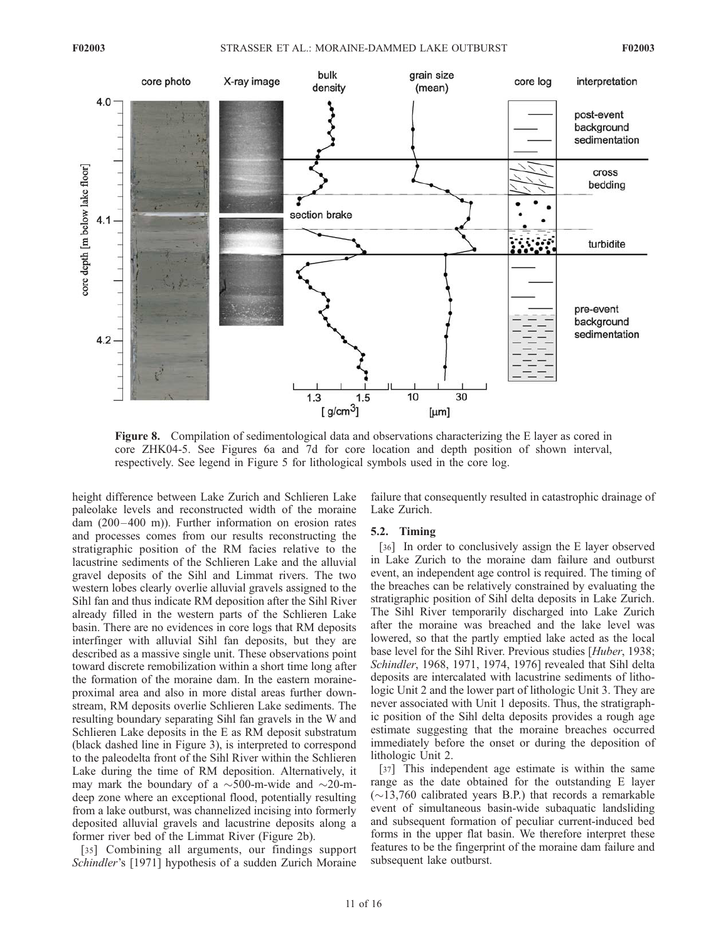

Figure 8. Compilation of sedimentological data and observations characterizing the E layer as cored in core ZHK04-5. See Figures 6a and 7d for core location and depth position of shown interval, respectively. See legend in Figure 5 for lithological symbols used in the core log.

height difference between Lake Zurich and Schlieren Lake paleolake levels and reconstructed width of the moraine dam (200–400 m)). Further information on erosion rates and processes comes from our results reconstructing the stratigraphic position of the RM facies relative to the lacustrine sediments of the Schlieren Lake and the alluvial gravel deposits of the Sihl and Limmat rivers. The two western lobes clearly overlie alluvial gravels assigned to the Sihl fan and thus indicate RM deposition after the Sihl River already filled in the western parts of the Schlieren Lake basin. There are no evidences in core logs that RM deposits interfinger with alluvial Sihl fan deposits, but they are described as a massive single unit. These observations point toward discrete remobilization within a short time long after the formation of the moraine dam. In the eastern moraineproximal area and also in more distal areas further downstream, RM deposits overlie Schlieren Lake sediments. The resulting boundary separating Sihl fan gravels in the W and Schlieren Lake deposits in the E as RM deposit substratum (black dashed line in Figure 3), is interpreted to correspond to the paleodelta front of the Sihl River within the Schlieren Lake during the time of RM deposition. Alternatively, it may mark the boundary of a  $\sim$ 500-m-wide and  $\sim$ 20-mdeep zone where an exceptional flood, potentially resulting from a lake outburst, was channelized incising into formerly deposited alluvial gravels and lacustrine deposits along a former river bed of the Limmat River (Figure 2b).

[35] Combining all arguments, our findings support Schindler's [1971] hypothesis of a sudden Zurich Moraine failure that consequently resulted in catastrophic drainage of Lake Zurich.

#### 5.2. Timing

[36] In order to conclusively assign the E layer observed in Lake Zurich to the moraine dam failure and outburst event, an independent age control is required. The timing of the breaches can be relatively constrained by evaluating the stratigraphic position of Sihl delta deposits in Lake Zurich. The Sihl River temporarily discharged into Lake Zurich after the moraine was breached and the lake level was lowered, so that the partly emptied lake acted as the local base level for the Sihl River. Previous studies [Huber, 1938; Schindler, 1968, 1971, 1974, 1976] revealed that Sihl delta deposits are intercalated with lacustrine sediments of lithologic Unit 2 and the lower part of lithologic Unit 3. They are never associated with Unit 1 deposits. Thus, the stratigraphic position of the Sihl delta deposits provides a rough age estimate suggesting that the moraine breaches occurred immediately before the onset or during the deposition of lithologic Unit 2.

[37] This independent age estimate is within the same range as the date obtained for the outstanding E layer  $(\sim 13,760$  calibrated years B.P.) that records a remarkable event of simultaneous basin-wide subaquatic landsliding and subsequent formation of peculiar current-induced bed forms in the upper flat basin. We therefore interpret these features to be the fingerprint of the moraine dam failure and subsequent lake outburst.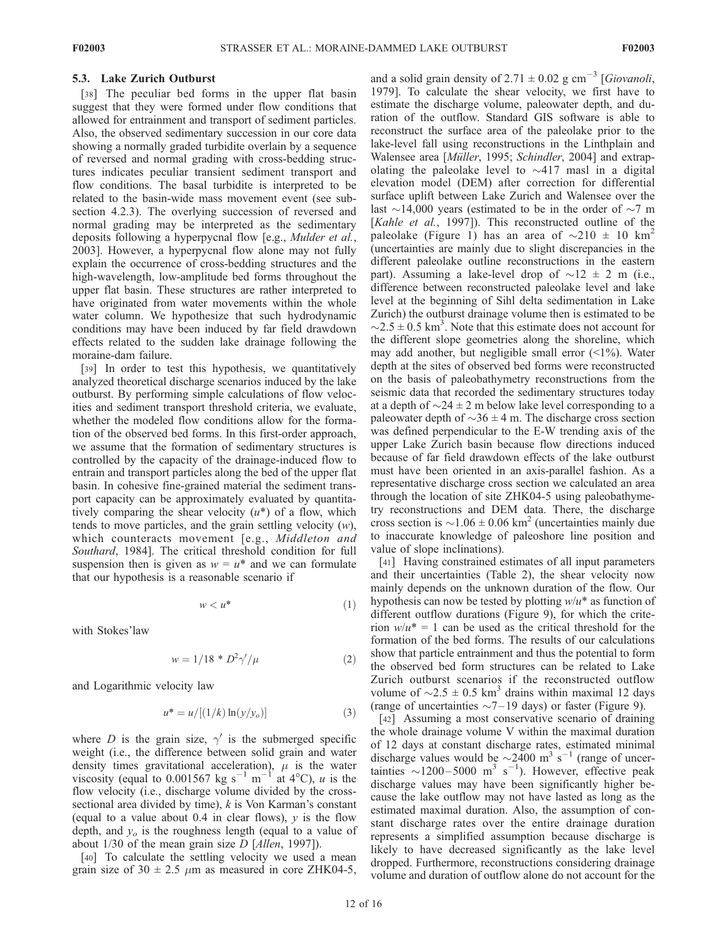#### 5.3. Lake Zurich Outburst

[38] The peculiar bed forms in the upper flat basin suggest that they were formed under flow conditions that allowed for entrainment and transport of sediment particles. Also, the observed sedimentary succession in our core data showing a normally graded turbidite overlain by a sequence of reversed and normal grading with cross-bedding structures indicates peculiar transient sediment transport and flow conditions. The basal turbidite is interpreted to be related to the basin-wide mass movement event (see subsection 4.2.3). The overlying succession of reversed and normal grading may be interpreted as the sedimentary deposits following a hyperpycnal flow [e.g., Mulder et al., 2003]. However, a hyperpycnal flow alone may not fully explain the occurrence of cross-bedding structures and the high-wavelength, low-amplitude bed forms throughout the upper flat basin. These structures are rather interpreted to have originated from water movements within the whole water column. We hypothesize that such hydrodynamic conditions may have been induced by far field drawdown effects related to the sudden lake drainage following the moraine-dam failure.

[39] In order to test this hypothesis, we quantitatively analyzed theoretical discharge scenarios induced by the lake outburst. By performing simple calculations of flow velocities and sediment transport threshold criteria, we evaluate, whether the modeled flow conditions allow for the formation of the observed bed forms. In this first-order approach, we assume that the formation of sedimentary structures is controlled by the capacity of the drainage-induced flow to entrain and transport particles along the bed of the upper flat basin. In cohesive fine-grained material the sediment transport capacity can be approximately evaluated by quantitatively comparing the shear velocity  $(u^*)$  of a flow, which tends to move particles, and the grain settling velocity  $(w)$ , which counteracts movement [e.g., Middleton and Southard, 1984]. The critical threshold condition for full suspension then is given as  $w = u^*$  and we can formulate that our hypothesis is a reasonable scenario if

$$
w < u^* \tag{1}
$$

with Stokes'law

$$
w = 1/18 * D^2 \gamma'/\mu \tag{2}
$$

and Logarithmic velocity law

$$
u^* = u/[(1/k)\ln(y/y_o)]
$$
 (3)

where D is the grain size,  $\gamma'$  is the submerged specific weight (i.e., the difference between solid grain and water density times gravitational acceleration),  $\mu$  is the water viscosity (equal to 0.001567 kg s<sup>-1</sup> m<sup>-1</sup> at 4°C), u is the flow velocity (i.e., discharge volume divided by the crosssectional area divided by time),  $k$  is Von Karman's constant (equal to a value about 0.4 in clear flows),  $y$  is the flow depth, and  $y<sub>o</sub>$  is the roughness length (equal to a value of about  $1/30$  of the mean grain size D [Allen, 1997]).

[40] To calculate the settling velocity we used a mean grain size of  $30 \pm 2.5$   $\mu$ m as measured in core ZHK04-5,

and a solid grain density of 2.71  $\pm$  0.02 g cm<sup>-3</sup> [*Giovanoli*, 1979]. To calculate the shear velocity, we first have to estimate the discharge volume, paleowater depth, and duration of the outflow. Standard GIS software is able to reconstruct the surface area of the paleolake prior to the lake-level fall using reconstructions in the Linthplain and Walensee area [Müller, 1995; Schindler, 2004] and extrapolating the paleolake level to  $\sim$ 417 masl in a digital elevation model (DEM) after correction for differential surface uplift between Lake Zurich and Walensee over the last  $\sim$ 14,000 years (estimated to be in the order of  $\sim$ 7 m [Kahle et al., 1997]). This reconstructed outline of the paleolake (Figure 1) has an area of  $\sim$ 210  $\pm$  10 km<sup>2</sup> (uncertainties are mainly due to slight discrepancies in the different paleolake outline reconstructions in the eastern part). Assuming a lake-level drop of  $\sim$ 12  $\pm$  2 m (i.e., difference between reconstructed paleolake level and lake level at the beginning of Sihl delta sedimentation in Lake Zurich) the outburst drainage volume then is estimated to be  $\sim$ 2.5  $\pm$  0.5 km<sup>3</sup>. Note that this estimate does not account for the different slope geometries along the shoreline, which may add another, but negligible small error (<1%). Water depth at the sites of observed bed forms were reconstructed on the basis of paleobathymetry reconstructions from the seismic data that recorded the sedimentary structures today at a depth of  $\sim$  24  $\pm$  2 m below lake level corresponding to a paleowater depth of  $\sim$ 36  $\pm$  4 m. The discharge cross section was defined perpendicular to the E-W trending axis of the upper Lake Zurich basin because flow directions induced because of far field drawdown effects of the lake outburst must have been oriented in an axis-parallel fashion. As a representative discharge cross section we calculated an area through the location of site ZHK04-5 using paleobathymetry reconstructions and DEM data. There, the discharge cross section is  $\sim$ 1.06 ± 0.06 km<sup>2</sup> (uncertainties mainly due to inaccurate knowledge of paleoshore line position and value of slope inclinations).

[41] Having constrained estimates of all input parameters and their uncertainties (Table 2), the shear velocity now mainly depends on the unknown duration of the flow. Our hypothesis can now be tested by plotting  $w/u^*$  as function of different outflow durations (Figure 9), for which the criterion  $w/u^* = 1$  can be used as the critical threshold for the formation of the bed forms. The results of our calculations show that particle entrainment and thus the potential to form the observed bed form structures can be related to Lake Zurich outburst scenarios if the reconstructed outflow volume of  $\sim$ 2.5  $\pm$  0.5 km<sup>3</sup> drains within maximal 12 days (range of uncertainties  $\sim$  7–19 days) or faster (Figure 9).

[42] Assuming a most conservative scenario of draining the whole drainage volume V within the maximal duration of 12 days at constant discharge rates, estimated minimal discharge values would be  $\sim$ 2400 m<sup>3</sup> s<sup>-1</sup> (range of uncertainties ~1200-5000 m<sup>3</sup> s<sup>-1</sup>). However, effective peak discharge values may have been significantly higher because the lake outflow may not have lasted as long as the estimated maximal duration. Also, the assumption of constant discharge rates over the entire drainage duration represents a simplified assumption because discharge is likely to have decreased significantly as the lake level dropped. Furthermore, reconstructions considering drainage volume and duration of outflow alone do not account for the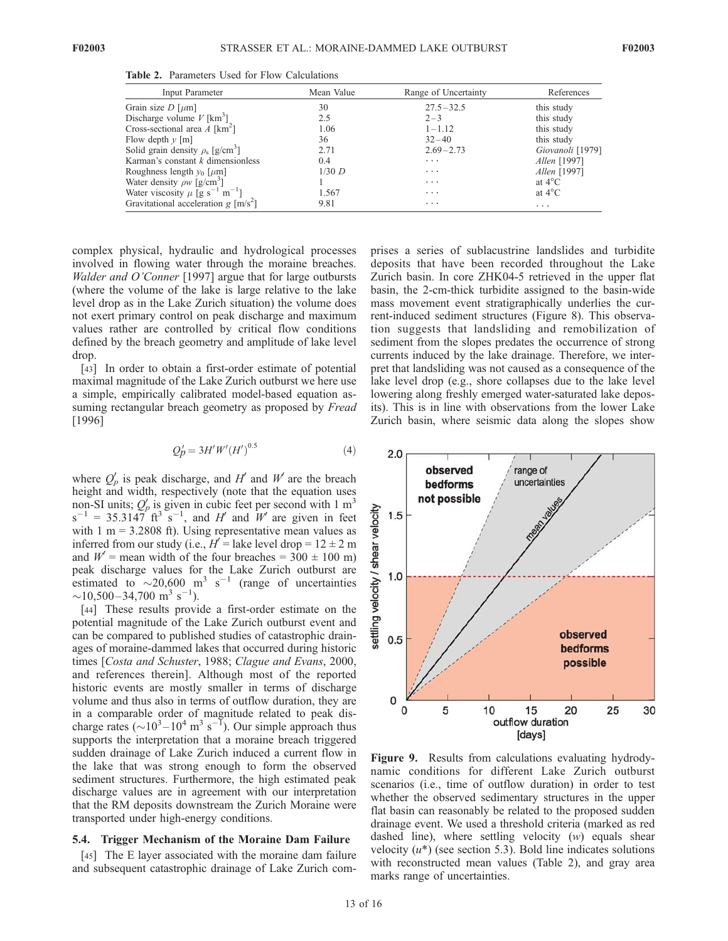| Input Parameter                                            | Mean Value | Range of Uncertainty | References       |
|------------------------------------------------------------|------------|----------------------|------------------|
| Grain size $D$ [ $\mu$ m]                                  | 30         | $27.5 - 32.5$        | this study       |
| Discharge volume $V$ [km <sup>3</sup> ]                    | 2.5        | $2 - 3$              | this study       |
| Cross-sectional area $A$ [km <sup>2</sup> ]                | 1.06       | $1 - 1.12$           | this study       |
| Flow depth $\nu$ [m]                                       | 36         | $32 - 40$            | this study       |
| Solid grain density $\rho_{\rm s}$ [g/cm <sup>3</sup> ]    | 2.71       | $2.69 - 2.73$        | Giovanoli [1979] |
| Karman's constant $k$ dimensionless                        | 0.4        | $\cdots$             | Allen [1997]     |
| Roughness length $y_0$ [ $\mu$ m]                          | $1/30$ D   | $\cdots$             | Allen [1997]     |
| Water density $\rho w$ [g/cm <sup>3</sup> ]                |            | $\cdots$             | at $4^{\circ}$ C |
| Water viscosity $\mu$ [g s <sup>-1</sup> m <sup>-1</sup> ] | 1.567      | $\cdots$             | at $4^{\circ}$ C |
| Gravitational acceleration $g \,[\text{m/s}^2]$            | 9.81       | $\cdots$             | $\cdots$         |

Table 2. Parameters Used for Flow Calculations

complex physical, hydraulic and hydrological processes involved in flowing water through the moraine breaches. Walder and O'Conner [1997] argue that for large outbursts (where the volume of the lake is large relative to the lake level drop as in the Lake Zurich situation) the volume does not exert primary control on peak discharge and maximum values rather are controlled by critical flow conditions defined by the breach geometry and amplitude of lake level drop.

[43] In order to obtain a first-order estimate of potential maximal magnitude of the Lake Zurich outburst we here use a simple, empirically calibrated model-based equation assuming rectangular breach geometry as proposed by *Fread* [1996]

$$
Q'_p = 3H'W'(H')^{0.5}
$$
 (4)

where  $Q'_{p}$  is peak discharge, and H' and W' are the breach height and width, respectively (note that the equation uses non-SI units;  $Q_p$  is given in cubic feet per second with 1 m<sup>3</sup>  $s^{-1}$  = 35.3147 ft<sup>3</sup>  $s^{-1}$ , and H' and W' are given in feet with  $1 m = 3.2808$  ft). Using representative mean values as inferred from our study (i.e.,  $H' =$  lake level drop =  $12 \pm 2$  m and  $W'$  = mean width of the four breaches = 300  $\pm$  100 m) peak discharge values for the Lake Zurich outburst are estimated to  $\sim$  20,600 m<sup>3</sup> s<sup>-1</sup> (range of uncertainties  $\sim$ 10,500–34,700 m<sup>3</sup> s<sup>-1</sup>).

[44] These results provide a first-order estimate on the potential magnitude of the Lake Zurich outburst event and can be compared to published studies of catastrophic drainages of moraine-dammed lakes that occurred during historic times [Costa and Schuster, 1988; Clague and Evans, 2000, and references therein]. Although most of the reported historic events are mostly smaller in terms of discharge volume and thus also in terms of outflow duration, they are in a comparable order of magnitude related to peak discharge rates ( $\sim$ 10<sup>3</sup> – 10<sup>4</sup> m<sup>3</sup> s<sup>-1</sup>). Our simple approach thus supports the interpretation that a moraine breach triggered sudden drainage of Lake Zurich induced a current flow in the lake that was strong enough to form the observed sediment structures. Furthermore, the high estimated peak discharge values are in agreement with our interpretation that the RM deposits downstream the Zurich Moraine were transported under high-energy conditions.

#### 5.4. Trigger Mechanism of the Moraine Dam Failure

[45] The E layer associated with the moraine dam failure and subsequent catastrophic drainage of Lake Zurich comprises a series of sublacustrine landslides and turbidite deposits that have been recorded throughout the Lake Zurich basin. In core ZHK04-5 retrieved in the upper flat basin, the 2-cm-thick turbidite assigned to the basin-wide mass movement event stratigraphically underlies the current-induced sediment structures (Figure 8). This observation suggests that landsliding and remobilization of sediment from the slopes predates the occurrence of strong currents induced by the lake drainage. Therefore, we interpret that landsliding was not caused as a consequence of the lake level drop (e.g., shore collapses due to the lake level lowering along freshly emerged water-saturated lake deposits). This is in line with observations from the lower Lake Zurich basin, where seismic data along the slopes show



Figure 9. Results from calculations evaluating hydrodynamic conditions for different Lake Zurich outburst scenarios (i.e., time of outflow duration) in order to test whether the observed sedimentary structures in the upper flat basin can reasonably be related to the proposed sudden drainage event. We used a threshold criteria (marked as red dashed line), where settling velocity (w) equals shear velocity  $(u^*)$  (see section 5.3). Bold line indicates solutions with reconstructed mean values (Table 2), and gray area marks range of uncertainties.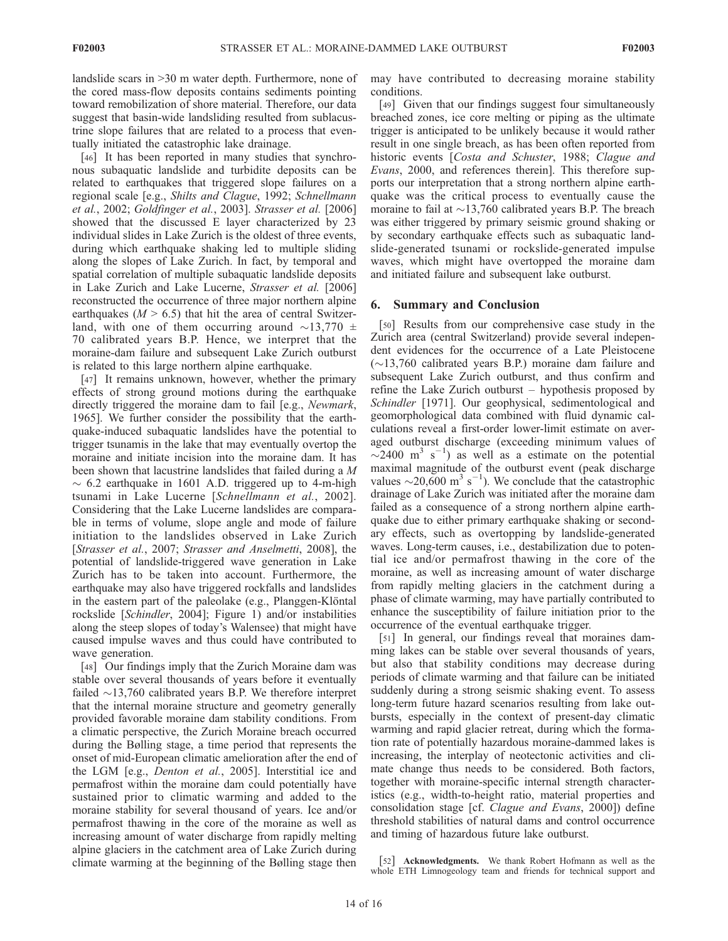landslide scars in >30 m water depth. Furthermore, none of the cored mass-flow deposits contains sediments pointing toward remobilization of shore material. Therefore, our data suggest that basin-wide landsliding resulted from sublacustrine slope failures that are related to a process that eventually initiated the catastrophic lake drainage.

[46] It has been reported in many studies that synchronous subaquatic landslide and turbidite deposits can be related to earthquakes that triggered slope failures on a regional scale [e.g., Shilts and Clague, 1992; Schnellmann et al., 2002; Goldfinger et al., 2003]. Strasser et al. [2006] showed that the discussed E layer characterized by 23 individual slides in Lake Zurich is the oldest of three events, during which earthquake shaking led to multiple sliding along the slopes of Lake Zurich. In fact, by temporal and spatial correlation of multiple subaquatic landslide deposits in Lake Zurich and Lake Lucerne, Strasser et al. [2006] reconstructed the occurrence of three major northern alpine earthquakes ( $M > 6.5$ ) that hit the area of central Switzerland, with one of them occurring around  $\sim$ 13,770  $\pm$ 70 calibrated years B.P. Hence, we interpret that the moraine-dam failure and subsequent Lake Zurich outburst is related to this large northern alpine earthquake.

[47] It remains unknown, however, whether the primary effects of strong ground motions during the earthquake directly triggered the moraine dam to fail [e.g., Newmark, 1965]. We further consider the possibility that the earthquake-induced subaquatic landslides have the potential to trigger tsunamis in the lake that may eventually overtop the moraine and initiate incision into the moraine dam. It has been shown that lacustrine landslides that failed during a M  $\sim$  6.2 earthquake in 1601 A.D. triggered up to 4-m-high tsunami in Lake Lucerne [Schnellmann et al., 2002]. Considering that the Lake Lucerne landslides are comparable in terms of volume, slope angle and mode of failure initiation to the landslides observed in Lake Zurich [Strasser et al., 2007; Strasser and Anselmetti, 2008], the potential of landslide-triggered wave generation in Lake Zurich has to be taken into account. Furthermore, the earthquake may also have triggered rockfalls and landslides in the eastern part of the paleolake (e.g., Planggen-Klöntal rockslide [Schindler, 2004]; Figure 1) and/or instabilities along the steep slopes of today's Walensee) that might have caused impulse waves and thus could have contributed to wave generation.

[48] Our findings imply that the Zurich Moraine dam was stable over several thousands of years before it eventually failed  $\sim$ 13,760 calibrated years B.P. We therefore interpret that the internal moraine structure and geometry generally provided favorable moraine dam stability conditions. From a climatic perspective, the Zurich Moraine breach occurred during the Bølling stage, a time period that represents the onset of mid-European climatic amelioration after the end of the LGM [e.g., *Denton et al.*, 2005]. Interstitial ice and permafrost within the moraine dam could potentially have sustained prior to climatic warming and added to the moraine stability for several thousand of years. Ice and/or permafrost thawing in the core of the moraine as well as increasing amount of water discharge from rapidly melting alpine glaciers in the catchment area of Lake Zurich during climate warming at the beginning of the Bølling stage then

may have contributed to decreasing moraine stability conditions.

[49] Given that our findings suggest four simultaneously breached zones, ice core melting or piping as the ultimate trigger is anticipated to be unlikely because it would rather result in one single breach, as has been often reported from historic events [Costa and Schuster, 1988; Clague and Evans, 2000, and references therein]. This therefore supports our interpretation that a strong northern alpine earthquake was the critical process to eventually cause the moraine to fail at  $\sim$ 13,760 calibrated years B.P. The breach was either triggered by primary seismic ground shaking or by secondary earthquake effects such as subaquatic landslide-generated tsunami or rockslide-generated impulse waves, which might have overtopped the moraine dam and initiated failure and subsequent lake outburst.

#### 6. Summary and Conclusion

[50] Results from our comprehensive case study in the Zurich area (central Switzerland) provide several independent evidences for the occurrence of a Late Pleistocene  $(\sim)13,760$  calibrated years B.P.) moraine dam failure and subsequent Lake Zurich outburst, and thus confirm and refine the Lake Zurich outburst – hypothesis proposed by Schindler [1971]. Our geophysical, sedimentological and geomorphological data combined with fluid dynamic calculations reveal a first-order lower-limit estimate on averaged outburst discharge (exceeding minimum values of  $\sim$ 2400 m<sup>3</sup> s<sup>-1</sup>) as well as a estimate on the potential maximal magnitude of the outburst event (peak discharge values  $\sim$  20,600 m<sup>3</sup> s<sup>-1</sup>). We conclude that the catastrophic drainage of Lake Zurich was initiated after the moraine dam failed as a consequence of a strong northern alpine earthquake due to either primary earthquake shaking or secondary effects, such as overtopping by landslide-generated waves. Long-term causes, i.e., destabilization due to potential ice and/or permafrost thawing in the core of the moraine, as well as increasing amount of water discharge from rapidly melting glaciers in the catchment during a phase of climate warming, may have partially contributed to enhance the susceptibility of failure initiation prior to the occurrence of the eventual earthquake trigger.

[51] In general, our findings reveal that moraines damming lakes can be stable over several thousands of years, but also that stability conditions may decrease during periods of climate warming and that failure can be initiated suddenly during a strong seismic shaking event. To assess long-term future hazard scenarios resulting from lake outbursts, especially in the context of present-day climatic warming and rapid glacier retreat, during which the formation rate of potentially hazardous moraine-dammed lakes is increasing, the interplay of neotectonic activities and climate change thus needs to be considered. Both factors, together with moraine-specific internal strength characteristics (e.g., width-to-height ratio, material properties and consolidation stage [cf. Clague and Evans, 2000]) define threshold stabilities of natural dams and control occurrence and timing of hazardous future lake outburst.

[52] Acknowledgments. We thank Robert Hofmann as well as the whole ETH Limnogeology team and friends for technical support and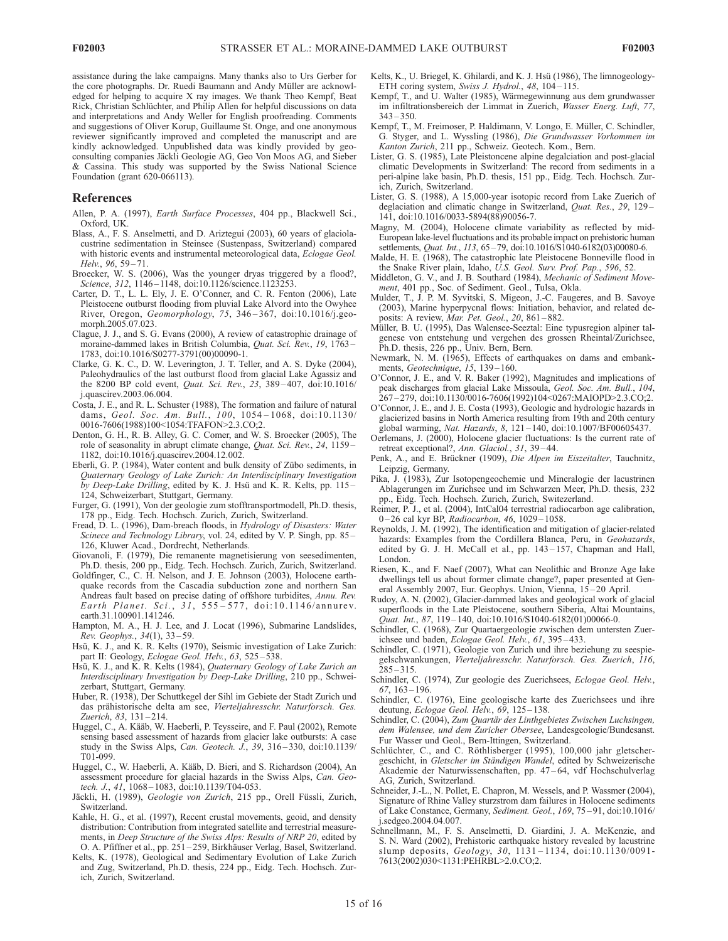assistance during the lake campaigns. Many thanks also to Urs Gerber for the core photographs. Dr. Ruedi Baumann and Andy Müller are acknowledged for helping to acquire X ray images. We thank Theo Kempf, Beat Rick, Christian Schlüchter, and Philip Allen for helpful discussions on data and interpretations and Andy Weller for English proofreading. Comments and suggestions of Oliver Korup, Guillaume St. Onge, and one anonymous reviewer significantly improved and completed the manuscript and are kindly acknowledged. Unpublished data was kindly provided by geoconsulting companies Jäckli Geologie AG, Geo Von Moos AG, and Sieber & Cassina. This study was supported by the Swiss National Science Foundation (grant 620-066113).

#### References

- Allen, P. A. (1997), Earth Surface Processes, 404 pp., Blackwell Sci., Oxford, UK.
- Blass, A., F. S. Anselmetti, and D. Ariztegui (2003), 60 years of glaciolacustrine sedimentation in Steinsee (Sustenpass, Switzerland) compared with historic events and instrumental meteorological data, Eclogae Geol. Helv., 96, 59-71.
- Broecker, W. S. (2006), Was the younger dryas triggered by a flood?, Science, 312, 1146-1148, doi:10.1126/science.1123253.
- Carter, D. T., L. L. Ely, J. E. O'Conner, and C. R. Fenton (2006), Late Pleistocene outburst flooding from pluvial Lake Alvord into the Owyhee River, Oregon, Geomorphology, 75, 346 – 367, doi:10.1016/j.geomorph.2005.07.023.
- Clague, J. J., and S. G. Evans (2000), A review of catastrophic drainage of moraine-dammed lakes in British Columbia, Quat. Sci. Rev., 19, 1763 – 1783, doi:10.1016/S0277-3791(00)00090-1.
- Clarke, G. K. C., D. W. Leverington, J. T. Teller, and A. S. Dyke (2004), Paleohydraulics of the last outburst flood from glacial Lake Agassiz and the 8200 BP cold event, Quat. Sci. Rev., 23, 389 – 407, doi:10.1016/ j.quascirev.2003.06.004.
- Costa, J. E., and R. L. Schuster (1988), The formation and failure of natural dams, Geol. Soc. Am. Bull., 100, 1054 – 1068, doi:10.1130/ 0016-7606(1988)100<1054:TFAFON>2.3.CO;2.
- Denton, G. H., R. B. Alley, G. C. Comer, and W. S. Broecker (2005), The role of seasonality in abrupt climate change, Quat. Sci. Rev., 24, 1159 – 1182, doi:10.1016/j.quascirev.2004.12.002.
- Eberli, G. P. (1984), Water content and bulk density of Zübo sediments, in Quaternary Geology of Lake Zurich: An Interdisciplinary Investigation by Deep-Lake Drilling, edited by K. J. Hsü and K. R. Kelts, pp. 115-124, Schweizerbart, Stuttgart, Germany.
- Furger, G. (1991), Von der geologie zum stofftransportmodell, Ph.D. thesis, 178 pp., Eidg. Tech. Hochsch. Zurich, Zurich, Switzerland.
- Fread, D. L. (1996), Dam-breach floods, in Hydrology of Disasters: Water Scinece and Technology Library, vol. 24, edited by V. P. Singh, pp. 85-126, Kluwer Acad., Dordrecht, Netherlands.
- Giovanoli, F. (1979), Die remanente magnetisierung von seesedimenten, Ph.D. thesis, 200 pp., Eidg. Tech. Hochsch. Zurich, Zurich, Switzerland.
- Goldfinger, C., C. H. Nelson, and J. E. Johnson (2003), Holocene earthquake records from the Cascadia subduction zone and northern San Andreas fault based on precise dating of offshore turbidites, Annu. Rev. Earth Planet. Sci.,  $31, 555-577,$  doi:10.1146/annurev. earth.31.100901.141246.
- Hampton, M. A., H. J. Lee, and J. Locat (1996), Submarine Landslides, Rev. Geophys., 34(1), 33 – 59.
- Hsü, K. J., and K. R. Kelts (1970), Seismic investigation of Lake Zurich: part II: Geology, Eclogae Geol. Helv., 63, 525-538.
- Hsü, K. J., and K. R. Kelts (1984), Quaternary Geology of Lake Zurich an Interdisciplinary Investigation by Deep-Lake Drilling, 210 pp., Schweizerbart, Stuttgart, Germany.
- Huber, R. (1938), Der Schuttkegel der Sihl im Gebiete der Stadt Zurich und das prähistorische delta am see, Vierteljahresschr. Naturforsch. Ges. Zuerich, 83, 131-214.
- Huggel, C., A. Kääb, W. Haeberli, P. Teysseire, and F. Paul (2002), Remote sensing based assessment of hazards from glacier lake outbursts: A case study in the Swiss Alps, Can. Geotech. J., 39, 316 – 330, doi:10.1139/ T01-099.
- Huggel, C., W. Haeberli, A. Kääb, D. Bieri, and S. Richardson (2004), An assessment procedure for glacial hazards in the Swiss Alps, Can. Geotech. J., 41, 1068-1083, doi:10.1139/T04-053.
- Jäckli, H. (1989), Geologie von Zurich, 215 pp., Orell Füssli, Zurich, Switzerland.
- Kahle, H. G., et al. (1997), Recent crustal movements, geoid, and density distribution: Contribution from integrated satellite and terrestrial measurements, in Deep Structure of the Swiss Alps: Results of NRP 20, edited by O. A. Pfiffner et al., pp. 251 – 259, Birkhäuser Verlag, Basel, Switzerland.
- Kelts, K. (1978), Geological and Sedimentary Evolution of Lake Zurich and Zug, Switzerland, Ph.D. thesis, 224 pp., Eidg. Tech. Hochsch. Zurich, Zurich, Switzerland.
- Kelts, K., U. Briegel, K. Ghilardi, and K. J. Hsü (1986), The limnogeology-ETH coring system, Swiss J. Hydrol., 48, 104-115.
- Kempf, T., and U. Walter (1985), Wärmegewinnung aus dem grundwasser im infiltrationsbereich der Limmat in Zuerich, Wasser Energ. Luft, 77,  $343 - 350$
- Kempf, T., M. Freimoser, P. Haldimann, V. Longo, E. Müller, C. Schindler, G. Styger, and L. Wyssling (1986), Die Grundwasser Vorkommen im Kanton Zurich, 211 pp., Schweiz. Geotech. Kom., Bern.
- Lister, G. S. (1985), Late Pleistoncene alpine degalciation and post-glacial climatic Developments in Switzerland: The record from sediments in a peri-alpine lake basin, Ph.D. thesis, 151 pp., Eidg. Tech. Hochsch. Zurich, Zurich, Switzerland.
- Lister, G. S. (1988), A 15,000-year isotopic record from Lake Zuerich of deglaciation and climatic change in Switzerland, Quat. Res., 29, 129-141, doi:10.1016/0033-5894(88)90056-7.
- Magny, M. (2004), Holocene climate variability as reflected by mid-European lake-level fluctuations and its probable impact on prehistoric human settlements, *Quat. Int.*, 113, 65-79, doi:10.1016/S1040-6182(03)00080-6.
- Malde, H. E. (1968), The catastrophic late Pleistocene Bonneville flood in the Snake River plain, Idaho, U.S. Geol. Surv. Prof. Pap., 596, 52.
- Middleton, G. V., and J. B. Southard (1984), Mechanic of Sediment Movement, 401 pp., Soc. of Sediment. Geol., Tulsa, Okla.
- Mulder, T., J. P. M. Syvitski, S. Migeon, J.-C. Faugeres, and B. Savoye (2003), Marine hyperpycnal flows: Initiation, behavior, and related deposits: A review, Mar. Pet. Geol., 20, 861 – 882.
- Müller, B. U. (1995), Das Walensee-Seeztal: Eine typusregion alpiner talgenese von entstehung und vergehen des grossen Rheintal/Zurichsee, Ph.D. thesis, 226 pp., Univ. Bern, Bern.
- Newmark, N. M. (1965), Effects of earthquakes on dams and embankments, Geotechnique, 15, 139-160.
- O'Connor, J. E., and V. R. Baker (1992), Magnitudes and implications of peak discharges from glacial Lake Missoula, Geol. Soc. Am. Bull., 104, 267 – 279, doi:10.1130/0016-7606(1992)104<0267:MAIOPD>2.3.CO;2.
- O'Connor, J. E., and J. E. Costa (1993), Geologic and hydrologic hazards in glacierized basins in North America resulting from 19th and 20th century global warming, Nat. Hazards, 8, 121 – 140, doi:10.1007/BF00605437.
- Oerlemans, J. (2000), Holocene glacier fluctuations: Is the current rate of retreat exceptional?, Ann. Glaciol., 31, 39 – 44.
- Penk, A., and E. Brückner (1909), Die Alpen im Eiszeitalter, Tauchnitz, Leipzig, Germany.
- Pika, J. (1983), Zur Isotopengeochemie und Mineralogie der lacustrinen Ablagerungen im Zurichsee und im Schwarzen Meer, Ph.D. thesis, 232 pp., Eidg. Tech. Hochsch. Zurich, Zurich, Switezerland.
- Reimer, P. J., et al. (2004), IntCal04 terrestrial radiocarbon age calibration, 0-26 cal kyr BP, Radiocarbon, 46, 1029-1058.
- Reynolds, J. M. (1992), The identification and mitigation of glacier-related hazards: Examples from the Cordillera Blanca, Peru, in Geohazards, edited by G. J. H. McCall et al., pp. 143-157, Chapman and Hall, London.
- Riesen, K., and F. Naef (2007), What can Neolithic and Bronze Age lake dwellings tell us about former climate change?, paper presented at General Assembly 2007, Eur. Geophys. Union, Vienna, 15-20 April.
- Rudoy, A. N. (2002), Glacier-dammed lakes and geological work of glacial superfloods in the Late Pleistocene, southern Siberia, Altai Mountains, Quat. Int., 87, 119 – 140, doi:10.1016/S1040-6182(01)00066-0.
- Schindler, C. (1968), Zur Quartaergeologie zwischen dem untersten Zuerichsee und baden, Eclogae Geol. Helv., 61, 395 – 433.
- Schindler, C. (1971), Geologie von Zurich und ihre beziehung zu seespiegelschwankungen, Vierteljahresschr. Naturforsch. Ges. Zuerich, 116,  $285 - 315$ .
- Schindler, C. (1974), Zur geologie des Zuerichsees, Eclogae Geol. Helv., 67, 163 – 196.
- Schindler, C. (1976), Eine geologische karte des Zuerichsees und ihre deutung, Eclogae Geol. Helv., 69, 125-138.
- Schindler, C. (2004), Zum Quartär des Linthgebietes Zwischen Luchsingen, dem Walensee, und dem Zuricher Obersee, Landesgeologie/Bundesanst. Fur Wasser und Geol., Bern-Ittingen, Switzerland.
- Schlüchter, C., and C. Röthlisberger (1995), 100,000 jahr gletschergeschicht, in Gletscher im Ständigen Wandel, edited by Schweizerische Akademie der Naturwissenschaften, pp. 47 – 64, vdf Hochschulverlag AG, Zurich, Switzerland.
- Schneider, J.-L., N. Pollet, E. Chapron, M. Wessels, and P. Wassmer (2004), Signature of Rhine Valley sturzstrom dam failures in Holocene sediments of Lake Constance, Germany, Sediment. Geol., 169, 75 – 91, doi:10.1016/ j.sedgeo.2004.04.007.
- Schnellmann, M., F. S. Anselmetti, D. Giardini, J. A. McKenzie, and S. N. Ward (2002), Prehistoric earthquake history revealed by lacustrine slump deposits, Geology, 30,  $1131 - 1134$ , doi:10.1130/0091-7613(2002)030<1131:PEHRBL>2.0.CO;2.